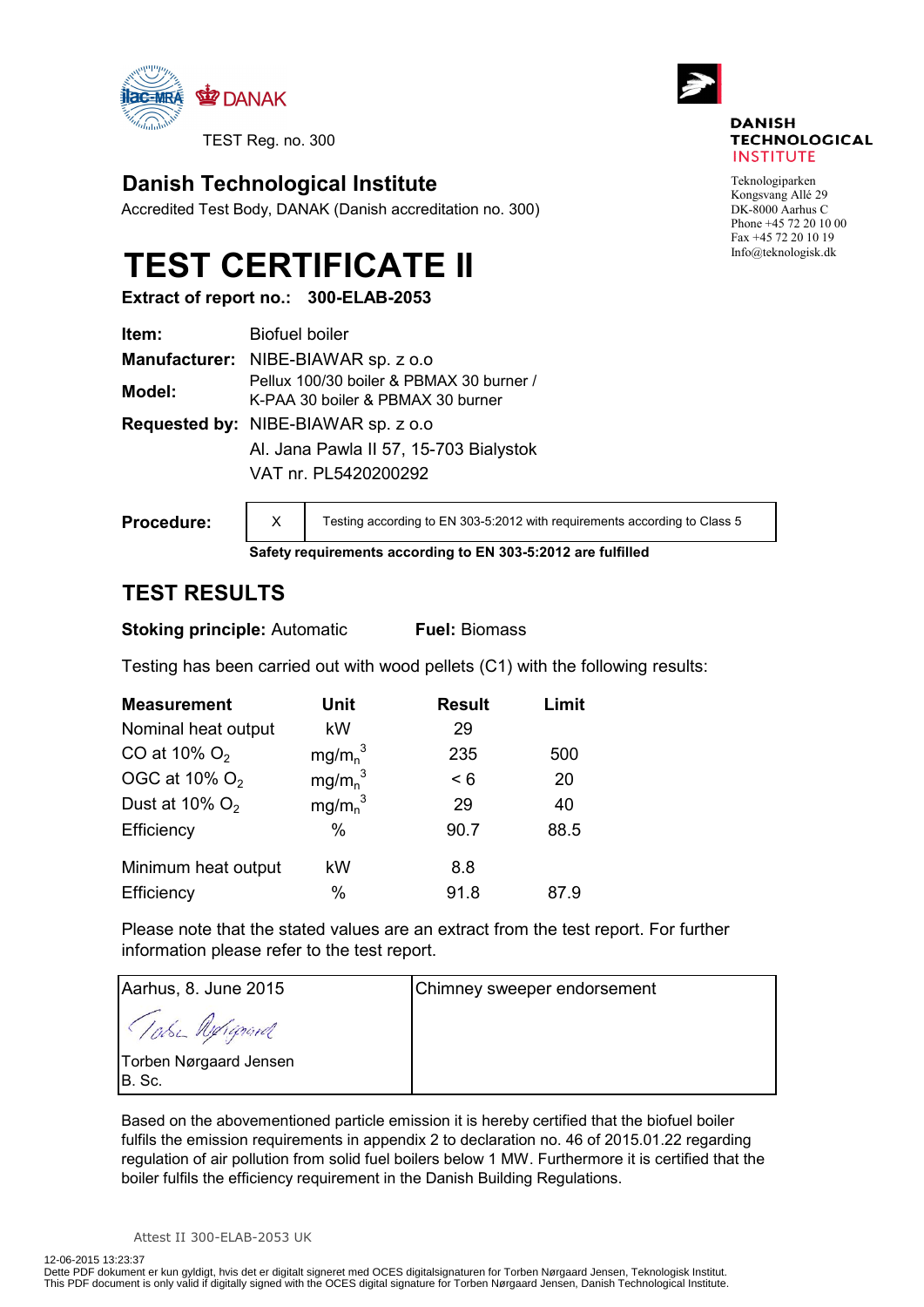

TEST Reg. no. 300

## **Danish Technological Institute**

Accredited Test Body, DANAK (Danish accreditation no. 300)

## **TEST CERTIFICATE II**

**Extract of report no.: 300-ELAB-2053**

| Item:         | <b>Biofuel boiler</b>                                                         |  |  |  |
|---------------|-------------------------------------------------------------------------------|--|--|--|
|               | Manufacturer: NIBE-BIAWAR sp. z o.o                                           |  |  |  |
| <b>Model:</b> | Pellux 100/30 boiler & PBMAX 30 burner /<br>K-PAA 30 boiler & PBMAX 30 burner |  |  |  |
|               | <b>Requested by: NIBE-BIAWAR sp. z o.o</b>                                    |  |  |  |
|               | Al. Jana Pawla II 57, 15-703 Bialystok                                        |  |  |  |
|               | VAT nr. PL5420200292                                                          |  |  |  |
|               |                                                                               |  |  |  |
|               |                                                                               |  |  |  |

**Procedure:** X

Testing according to EN 303-5:2012 with requirements according to Class 5

**Safety requirements according to EN 303-5:2012 are fulfilled**

## **TEST RESULTS**

**Stoking principle: Automatic Fuel: Biomass** 

Testing has been carried out with wood pellets (C1) with the following results:

| <b>Measurement</b>        | Unit                           | <b>Result</b> | Limit |
|---------------------------|--------------------------------|---------------|-------|
| Nominal heat output       | kW                             | 29            |       |
| CO at 10% $O2$            | mg/m <sub>n</sub> <sup>3</sup> | 235           | 500   |
| OGC at 10% O <sub>2</sub> | mg/m <sub>n</sub> <sup>3</sup> | < 6           | 20    |
| Dust at 10% $O_2$         | mg/m <sub>n</sub> <sup>3</sup> | 29            | 40    |
| Efficiency                | $\%$                           | 90.7          | 88.5  |
| Minimum heat output       | kW                             | 8.8           |       |
| Efficiency                | $\%$                           | 91.8          | 87.9  |

Please note that the stated values are an extract from the test report. For further information please refer to the test report.

| Aarhus, 8. June 2015             | Chimney sweeper endorsement |
|----------------------------------|-----------------------------|
| Tobe Refigueral                  |                             |
| Torben Nørgaard Jensen<br>B. Sc. |                             |

Based on the abovementioned particle emission it is hereby certified that the biofuel boiler fulfils the emission requirements in appendix 2 to declaration no. 46 of 2015.01.22 regarding regulation of air pollution from solid fuel boilers below 1 MW. Furthermore it is certified that the boiler fulfils the efficiency requirement in the Danish Building Regulations.



**DANISH TECHNOLOGICAL INSTITUTE** 

Teknologiparken Kongsvang Allé 29 DK-8000 Aarhus C Phone +45 72 20 10 00 Fax +45 72 20 10 19 [Info@teknologisk.dk](mailto:Info@teknologisk.dk)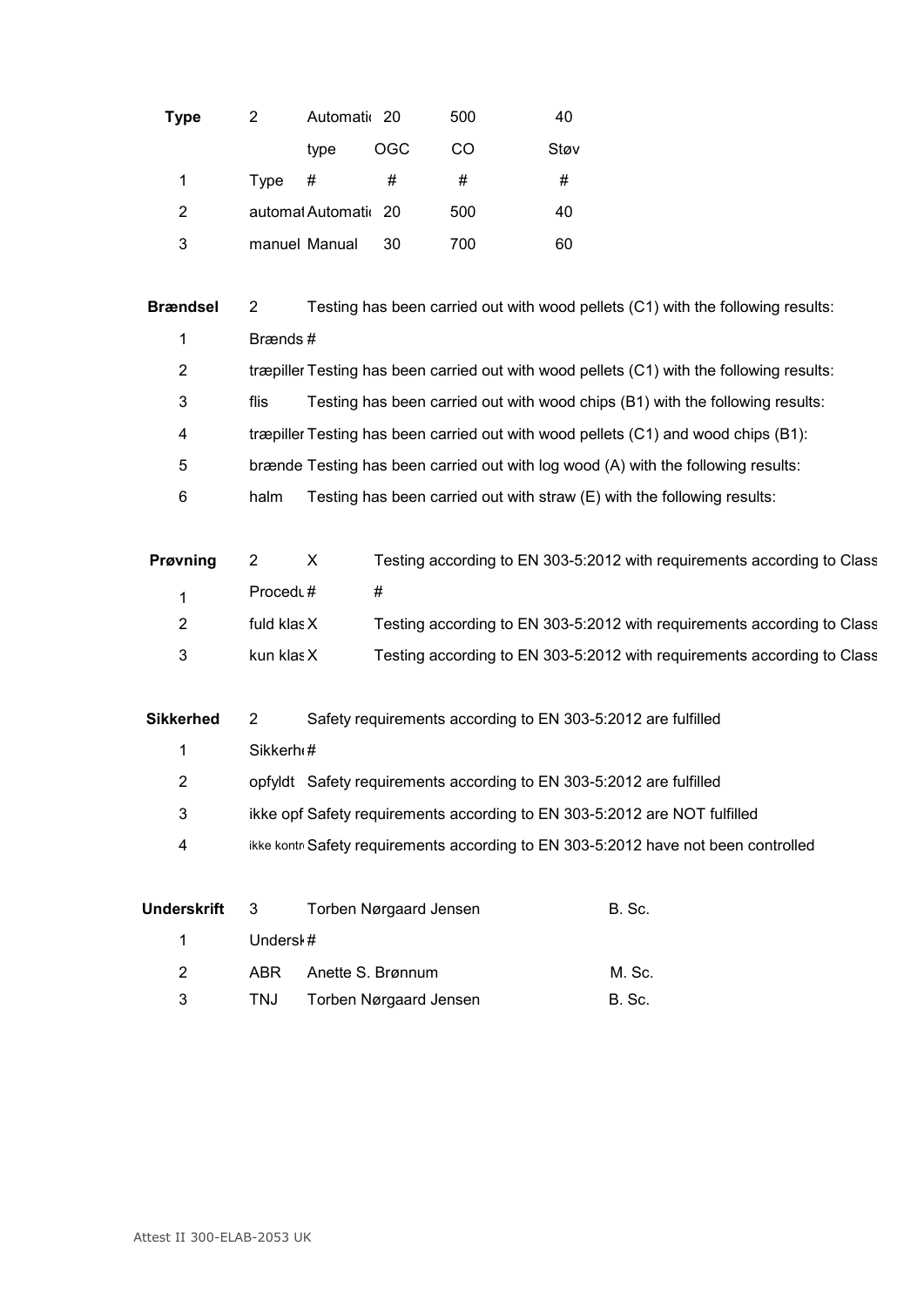| <b>Type</b> | 2    | Automatic 20        |     | 500 | 40   |
|-------------|------|---------------------|-----|-----|------|
|             |      | type                | OGC | CO  | Støv |
| 1           | Type | #                   | #   | #   | #    |
| 2           |      | automal Automati 20 |     | 500 | 40   |
| 3           |      | manuel Manual       | 30  | 700 | 60   |

| <b>Brændsel</b> | 2       | Testing has been carried out with wood pellets (C1) with the following results:           |
|-----------------|---------|-------------------------------------------------------------------------------------------|
| 1               | Brænds# |                                                                                           |
| 2               |         | træpiller Testing has been carried out with wood pellets (C1) with the following results: |
| 3               | flis    | Testing has been carried out with wood chips (B1) with the following results:             |
| 4               |         | træpiller Testing has been carried out with wood pellets (C1) and wood chips (B1):        |
| 5               |         | brænde Testing has been carried out with log wood (A) with the following results:         |
| 6               | halm    | Testing has been carried out with straw (E) with the following results:                   |

| <b>Prøvning</b> | 2           | X. | Testing according to EN 303-5:2012 with requirements according to Class |
|-----------------|-------------|----|-------------------------------------------------------------------------|
| -1              | Procedu#    |    | #                                                                       |
|                 | fuld klas X |    | Testing according to EN 303-5:2012 with requirements according to Class |
|                 | kun klas X  |    | Testing according to EN 303-5:2012 with requirements according to Class |

| Sikkerhed |   | 2                      | Safety requirements according to EN 303-5:2012 are fulfilled                        |  |  |
|-----------|---|------------------------|-------------------------------------------------------------------------------------|--|--|
|           |   | Sikkerh <sub>t</sub> # |                                                                                     |  |  |
|           | 2 |                        | opfyldt Safety requirements according to EN 303-5:2012 are fulfilled                |  |  |
|           | 3 |                        | ikke opf Safety requirements according to EN 303-5:2012 are NOT fulfilled           |  |  |
|           | 4 |                        | ikke kontro Safety requirements according to EN 303-5:2012 have not been controlled |  |  |
|           |   |                        |                                                                                     |  |  |

| Underskrift 3 |          | <b>Torben Nørgaard Jensen</b> | B. Sc. |
|---------------|----------|-------------------------------|--------|
| $\mathbf 1$   | Undersk# |                               |        |
| $\mathcal{P}$ |          | ABR Anette S. Brønnum         | M. Sc. |
| 3             | TNJ      | Torben Nørgaard Jensen        | B. Sc. |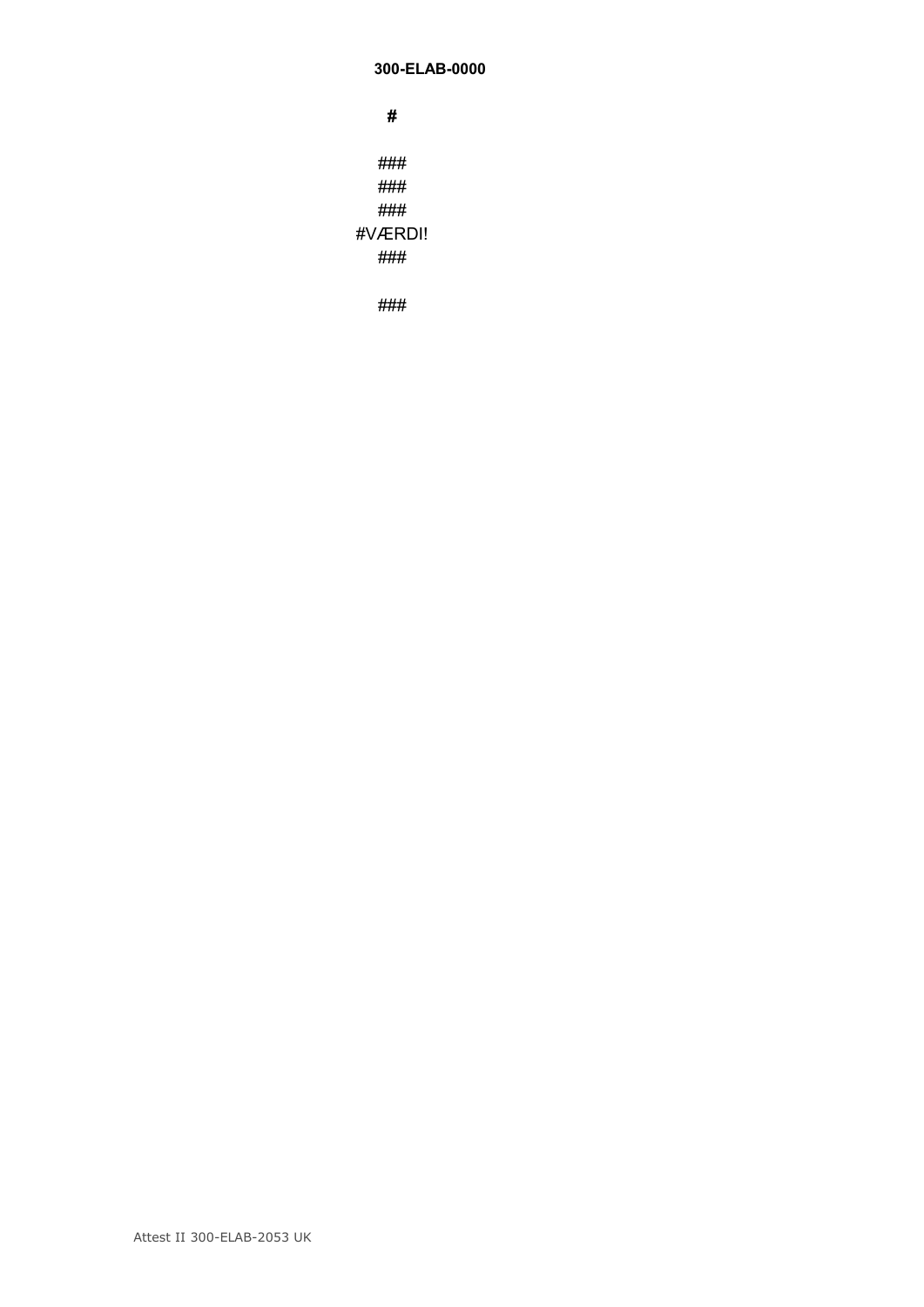## **300-ELAB-0000**

**#** ### ### ### #VÆRDI! ###

###